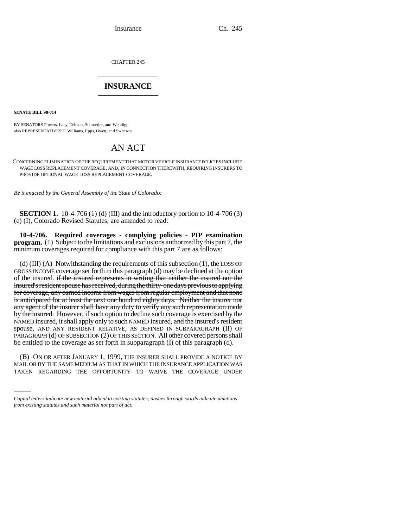Insurance Ch. 245

CHAPTER 245 \_\_\_\_\_\_\_\_\_\_\_\_\_\_\_

## **INSURANCE** \_\_\_\_\_\_\_\_\_\_\_\_\_\_\_

**SENATE BILL 98-014**

BY SENATORS Powers, Lacy, Tebedo, Schroeder, and Weddig; also REPRESENTATIVES T. Williams, Epps, Owen, and Swenson.

## AN ACT

CONCERNING ELIMINATION OF THE REQUIREMENT THAT MOTOR VEHICLE INSURANCE POLICIES INCLUDE WAGE LOSS REPLACEMENT COVERAGE, AND, IN CONNECTION THEREWITH, REQUIRING INSURERS TO PROVIDE OPTIONAL WAGE LOSS REPLACEMENT COVERAGE.

*Be it enacted by the General Assembly of the State of Colorado:*

**SECTION 1.** 10-4-706 (1) (d) (III) and the introductory portion to 10-4-706 (3) (e) (I), Colorado Revised Statutes, are amended to read:

**10-4-706. Required coverages - complying policies - PIP examination program.** (1) Subject to the limitations and exclusions authorized by this part 7, the minimum coverages required for compliance with this part 7 are as follows:

(d) (III) (A) Notwithstanding the requirements of this subsection (1), the LOSS OF GROSS INCOME coverage set forth in this paragraph (d) may be declined at the option of the insured. if the insured represents in writing that neither the insured nor the insured's resident spouse has received, during the thirty-one days previous to applying for coverage, any earned income from wages from regular employment and that none is anticipated for at least the next one hundred eighty days. Neither the insurer nor any agent of the insurer shall have any duty to verify any such representation made by the insured. However, if such option to decline such coverage is exercised by the NAMED insured, it shall apply only to such NAMED insured, and the insured's resident spouse, AND ANY RESIDENT RELATIVE, AS DEFINED IN SUBPARAGRAPH (II) OF PARAGRAPH (d) OF SUBSECTION (2) OF THIS SECTION. All other covered persons shall be entitled to the coverage as set forth in subparagraph (I) of this paragraph (d).

(B) ON OR AFTER JANUARY 1, 1999, THE INSURER SHALL PROVIDE A NOTICE BY MAIL OR BY THE SAME MEDIUM AS THAT IN WHICH THE INSURANCE APPLICATION WAS TAKEN REGARDING THE OPPORTUNITY TO WAIVE THE COVERAGE UNDER

*Capital letters indicate new material added to existing statutes; dashes through words indicate deletions from existing statutes and such material not part of act.*